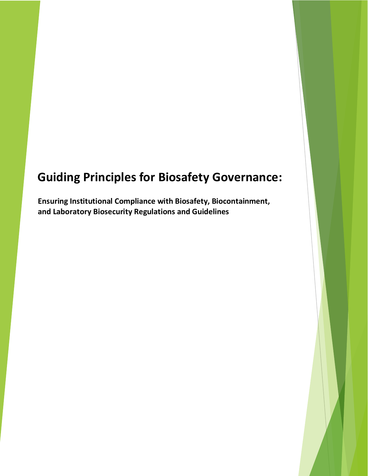# **Guiding Principles for Biosafety Governance:**

**Ensuring Institutional Compliance with Biosafety, Biocontainment, and Laboratory Biosecurity Regulations and Guidelines**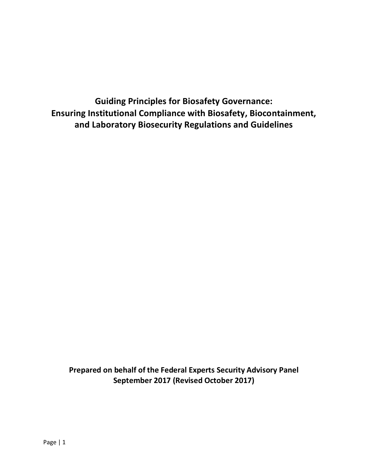**Guiding Principles for Biosafety Governance: Ensuring Institutional Compliance with Biosafety, Biocontainment, and Laboratory Biosecurity Regulations and Guidelines**

**Prepared on behalf of the Federal Experts Security Advisory Panel September 2017 (Revised October 2017)**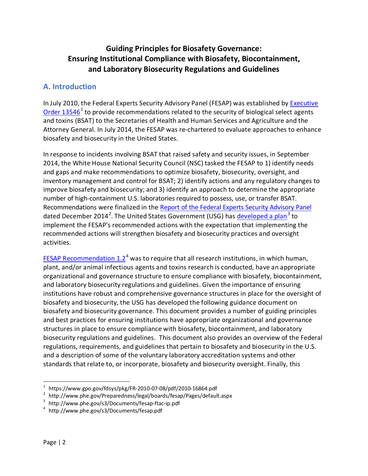# **Guiding Principles for Biosafety Governance: Ensuring Institutional Compliance with Biosafety, Biocontainment, and Laboratory Biosecurity Regulations and Guidelines**

## **A. Introduction**

In July 2010, the Federal Experts Security Advisory Panel (FESAP) was established by [Executive](https://www.gpo.gov/fdsys/pkg/FR-2010-07-08/pdf/2010-16864.pdf)  Order  $13546<sup>1</sup>$  $13546<sup>1</sup>$  to provide recommendations related to the security of biological select agents and toxins (BSAT) to the Secretaries of Health and Human Services and Agriculture and the Attorney General. In July 2014, the FESAP was re-chartered to evaluate approaches to enhance biosafety and biosecurity in the United States.

In response to incidents involving BSAT that raised safety and security issues, in September 2014, the White House National Security Council (NSC) tasked the FESAP to 1) identify needs and gaps and make recommendations to optimize biosafety, biosecurity, oversight, and inventory management and control for BSAT; 2) identify actions and any regulatory changes to improve biosafety and biosecurity; and 3) identify an approach to determine the appropriate number of high-containment U.S. laboratories required to possess, use, or transfer BSAT. Recommendations were finalized in the [Report of the Federal Experts Security Advisory](http://www.phe.gov/Preparedness/legal/boards/fesap/Pages/default.aspx) Panel dated December [2](#page-2-1)014<sup>2</sup>. The United States Government (USG) has <u>[developed a](http://www.phe.gov/s3/Documents/fesap-ftac-ip.pdf) plan</u><sup>[3](#page-2-2)</sup> to implement the FESAP's recommended actions with the expectation that implementing the recommended actions will strengthen biosafety and biosecurity practices and oversight activities.

FESAP Recommendation  $1.2<sup>4</sup>$  $1.2<sup>4</sup>$  $1.2<sup>4</sup>$  was to require that all research institutions, in which human, plant, and/or animal infectious agents and toxins research is conducted, have an appropriate organizational and governance structure to ensure compliance with biosafety, biocontainment, and laboratory biosecurity regulations and guidelines. Given the importance of ensuring institutions have robust and comprehensive governance structures in place for the oversight of biosafety and biosecurity, the USG has developed the following guidance document on biosafety and biosecurity governance. This document provides a number of guiding principles and best practices for ensuring institutions have appropriate organizational and governance structures in place to ensure compliance with biosafety, biocontainment, and laboratory biosecurity regulations and guidelines.This document also provides an overview of the Federal regulations, requirements, and guidelines that pertain to biosafety and biosecurity in the U.S. and a description of some of the voluntary laboratory accreditation systems and other standards that relate to, or incorporate, biosafety and biosecurity oversight. Finally, this

<span id="page-2-0"></span> $^{\rm 1}$  https://www.gpo.gov/fdsys/pkg/FR-2010-07-08/pdf/2010-16864.pdf

<span id="page-2-1"></span><sup>&</sup>lt;sup>2</sup> http://www.phe.gov/Preparedness/legal/boards/fesap/Pages/default.aspx<br><sup>3</sup> http://www.phe.gov/c2/Desuments/fasen.ftes.in.ndf

<span id="page-2-2"></span>http://www.phe.gov/s3/Documents/fesap-ftac-ip.pdf

<span id="page-2-3"></span><sup>4</sup> http://www.phe.gov/s3/Documents/fesap.pdf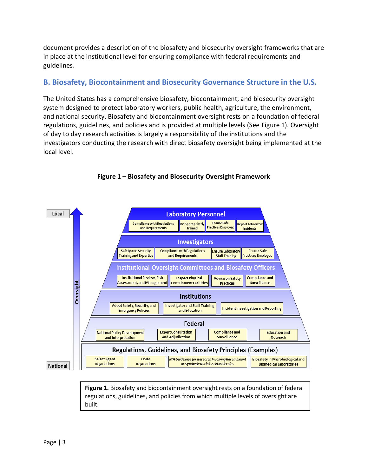document provides a description of the biosafety and biosecurity oversight frameworks that are in place at the institutional level for ensuring compliance with federal requirements and guidelines.

# **B. Biosafety, Biocontainment and Biosecurity Governance Structure in the U.S.**

The United States has a comprehensive biosafety, biocontainment, and biosecurity oversight system designed to protect laboratory workers, public health, agriculture, the environment, and national security. Biosafety and biocontainment oversight rests on a foundation of federal regulations, guidelines, and policies and is provided at multiple levels (See Figure 1). Oversight of day to day research activities is largely a responsibility of the institutions and the investigators conducting the research with direct biosafety oversight being implemented at the local level.



#### **Figure 1 – Biosafety and Biosecurity Oversight Framework**

**Figure 1.** Biosafety and biocontainment oversight rests on a foundation of federal regulations, guidelines, and policies from which multiple levels of oversight are built.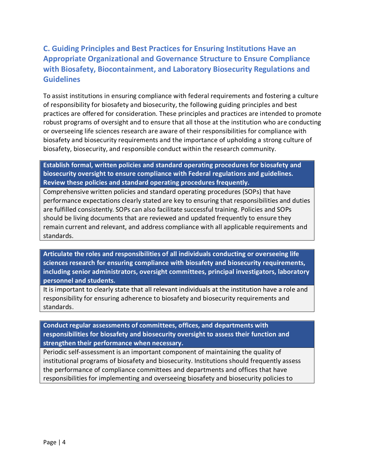# **C. Guiding Principles and Best Practices for Ensuring Institutions Have an Appropriate Organizational and Governance Structure to Ensure Compliance with Biosafety, Biocontainment, and Laboratory Biosecurity Regulations and Guidelines**

To assist institutions in ensuring compliance with federal requirements and fostering a culture of responsibility for biosafety and biosecurity, the following guiding principles and best practices are offered for consideration. These principles and practices are intended to promote robust programs of oversight and to ensure that all those at the institution who are conducting or overseeing life sciences research are aware of their responsibilities for compliance with biosafety and biosecurity requirements and the importance of upholding a strong culture of biosafety, biosecurity, and responsible conduct within the research community.

**Establish formal, written policies and standard operating procedures for biosafety and biosecurity oversight to ensure compliance with Federal regulations and guidelines. Review these policies and standard operating procedures frequently.**

Comprehensive written policies and standard operating procedures (SOPs) that have performance expectations clearly stated are key to ensuring that responsibilities and duties are fulfilled consistently. SOPs can also facilitate successful training. Policies and SOPs should be living documents that are reviewed and updated frequently to ensure they remain current and relevant, and address compliance with all applicable requirements and standards.

**Articulate the roles and responsibilities of all individuals conducting or overseeing life sciences research for ensuring compliance with biosafety and biosecurity requirements, including senior administrators, oversight committees, principal investigators, laboratory personnel and students.**

It is important to clearly state that all relevant individuals at the institution have a role and responsibility for ensuring adherence to biosafety and biosecurity requirements and standards.

**Conduct regular assessments of committees, offices, and departments with responsibilities for biosafety and biosecurity oversight to assess their function and strengthen their performance when necessary.**

Periodic self-assessment is an important component of maintaining the quality of institutional programs of biosafety and biosecurity. Institutions should frequently assess the performance of compliance committees and departments and offices that have responsibilities for implementing and overseeing biosafety and biosecurity policies to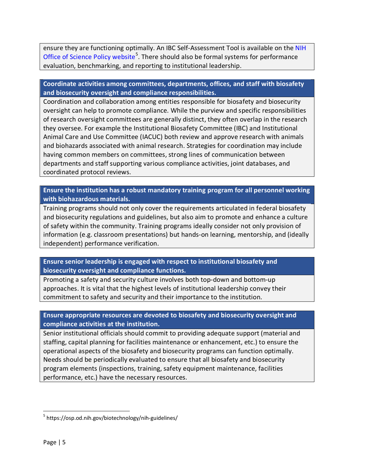ensure they are functioning optimally. An IBC Self-Assessment Tool is available on the [NIH](https://osp.od.nih.gov/biotechnology/nih-guidelines/)  [Office of Science Policy website](https://osp.od.nih.gov/biotechnology/nih-guidelines/)<sup>[5](#page-5-0)</sup>. There should also be formal systems for performance evaluation, benchmarking, and reporting to institutional leadership.

#### **Coordinate activities among committees, departments, offices, and staff with biosafety and biosecurity oversight and compliance responsibilities.**

Coordination and collaboration among entities responsible for biosafety and biosecurity oversight can help to promote compliance. While the purview and specific responsibilities of research oversight committees are generally distinct, they often overlap in the research they oversee. For example the Institutional Biosafety Committee (IBC) and Institutional Animal Care and Use Committee (IACUC) both review and approve research with animals and biohazards associated with animal research. Strategies for coordination may include having common members on committees, strong lines of communication between departments and staff supporting various compliance activities, joint databases, and coordinated protocol reviews.

#### **Ensure the institution has a robust mandatory training program for all personnel working with biohazardous materials.**

Training programs should not only cover the requirements articulated in federal biosafety and biosecurity regulations and guidelines, but also aim to promote and enhance a culture of safety within the community. Training programs ideally consider not only provision of information (e.g. classroom presentations) but hands-on learning, mentorship, and (ideally independent) performance verification.

#### **Ensure senior leadership is engaged with respect to institutional biosafety and biosecurity oversight and compliance functions.**

Promoting a safety and security culture involves both top-down and bottom-up approaches. It is vital that the highest levels of institutional leadership convey their commitment to safety and security and their importance to the institution.

#### **Ensure appropriate resources are devoted to biosafety and biosecurity oversight and compliance activities at the institution.**

Senior institutional officials should commit to providing adequate support (material and staffing, capital planning for facilities maintenance or enhancement, etc.) to ensure the operational aspects of the biosafety and biosecurity programs can function optimally. Needs should be periodically evaluated to ensure that all biosafety and biosecurity program elements (inspections, training, safety equipment maintenance, facilities performance, etc.) have the necessary resources.

 $\overline{a}$ 

<span id="page-5-0"></span><sup>5</sup> https://osp.od.nih.gov/biotechnology/nih-guidelines/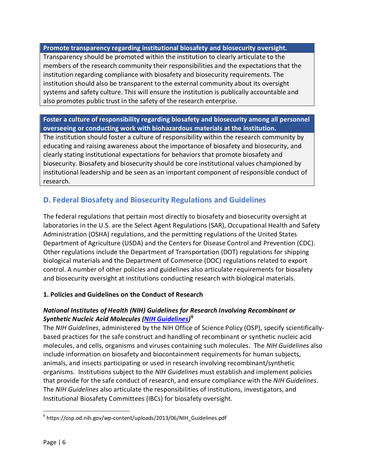**Promote transparency regarding institutional biosafety and biosecurity oversight.**

Transparency should be promoted within the institution to clearly articulate to the members of the research community their responsibilities and the expectations that the institution regarding compliance with biosafety and biosecurity requirements. The institution should also be transparent to the external community about its oversight systems and safety culture. This will ensure the institution is publically accountable and also promotes public trust in the safety of the research enterprise.

#### **Foster a culture of responsibility regarding biosafety and biosecurity among all personnel overseeing or conducting work with biohazardous materials at the institution.**

The institution should foster a culture of responsibility within the research community by educating and raising awareness about the importance of biosafety and biosecurity, and clearly stating institutional expectations for behaviors that promote biosafety and biosecurity. Biosafety and biosecurity should be core institutional values championed by institutional leadership and be seen as an important component of responsible conduct of research.

# **D. Federal Biosafety and Biosecurity Regulations and Guidelines**

The federal regulations that pertain most directly to biosafety and biosecurity oversight at laboratories in the U.S. are the Select Agent Regulations (SAR), Occupational Health and Safety Administration (OSHA) regulations, and the permitting regulations of the United States Department of Agriculture (USDA) and the Centers for Disease Control and Prevention (CDC). Other regulations include the Department of Transportation (DOT) regulations for shipping biological materials and the Department of Commerce (DOC) regulations related to export control. A number of other policies and guidelines also articulate requirements for biosafety and biosecurity oversight at institutions conducting research with biological materials.

#### **1. Policies and Guidelines on the Conduct of Research**

#### *National Institutes of Health (NIH) Guidelines for Research Involving Recombinant or Synthetic Nucleic Acid Molecules [\(NIH Guidelines\)](https://osp.od.nih.gov/wp-content/uploads/2013/06/NIH_Guidelines.pdf)* **[6](#page-6-0)**

The *NIH Guidelines*, administered by the NIH Office of Science Policy (OSP), specify scientificallybased practices for the safe construct and handling of recombinant or synthetic nucleic acid molecules, and cells, organisms and viruses containing such molecules. The *NIH Guidelines* also include information on biosafety and biocontainment requirements for human subjects, animals, and insects participating or used in research involving recombinant/synthetic organisms. Institutions subject to the *NIH Guidelines* must establish and implement policies that provide for the safe conduct of research, and ensure compliance with the *NIH Guidelines*. The *NIH Guidelines* also articulate the responsibilities of institutions, investigators, and Institutional Biosafety Committees (IBCs) for biosafety oversight.

<span id="page-6-0"></span> $6$  https://osp.od.nih.gov/wp-content/uploads/2013/06/NIH\_Guidelines.pdf  $\ddot{\phantom{0}}$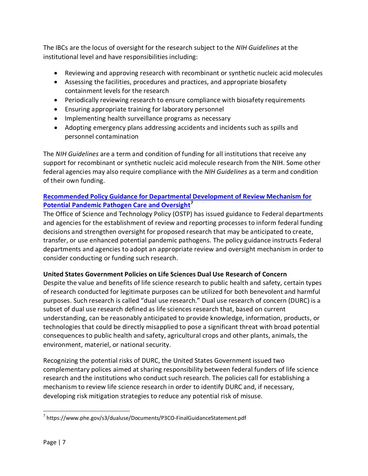The IBCs are the locus of oversight for the research subject to the *NIH Guidelines* at the institutional level and have responsibilities including:

- Reviewing and approving research with recombinant or synthetic nucleic acid molecules
- Assessing the facilities, procedures and practices, and appropriate biosafety containment levels for the research
- Periodically reviewing research to ensure compliance with biosafety requirements
- Ensuring appropriate training for laboratory personnel
- Implementing health surveillance programs as necessary
- Adopting emergency plans addressing accidents and incidents such as spills and personnel contamination

The *NIH Guidelines* are a term and condition of funding for all institutions that receive any support for recombinant or synthetic nucleic acid molecule research from the NIH. Some other federal agencies may also require compliance with the *NIH Guidelines* as a term and condition of their own funding.

#### **[Recommended Policy Guidance for Departmental Development of Review Mechanism for](https://www.phe.gov/s3/dualuse/Documents/P3CO-FinalGuidanceStatement.pdf)  [Potential Pandemic Pathogen Care and Oversight](https://www.phe.gov/s3/dualuse/Documents/P3CO-FinalGuidanceStatement.pdf)[7](#page-7-0)**

The Office of Science and Technology Policy (OSTP) has issued guidance to Federal departments and agencies for the establishment of review and reporting processes to inform federal funding decisions and strengthen oversight for proposed research that may be anticipated to create, transfer, or use enhanced potential pandemic pathogens. The policy guidance instructs Federal departments and agencies to adopt an appropriate review and oversight mechanism in order to consider conducting or funding such research.

#### **United States Government Policies on Life Sciences Dual Use Research of Concern**

Despite the value and benefits of life science research to public health and safety, certain types of research conducted for legitimate purposes can be utilized for both benevolent and harmful purposes. Such research is called "dual use research." Dual use research of concern (DURC) is a subset of dual use research defined as life sciences research that, based on current understanding, can be reasonably anticipated to provide knowledge, information, products, or technologies that could be directly misapplied to pose a significant threat with broad potential consequences to public health and safety, agricultural crops and other plants, animals, the environment, materiel, or national security.

Recognizing the potential risks of DURC, the United States Government issued two complementary polices aimed at sharing responsibility between federal funders of life science research and the institutions who conduct such research. The policies call for establishing a mechanism to review life science research in order to identify DURC and, if necessary, developing risk mitigation strategies to reduce any potential risk of misuse.

<span id="page-7-0"></span><sup>&</sup>lt;sup>7</sup> https://www.phe.gov/s3/dualuse/Documents/P3CO-FinalGuidanceStatement.pdf  $\overline{a}$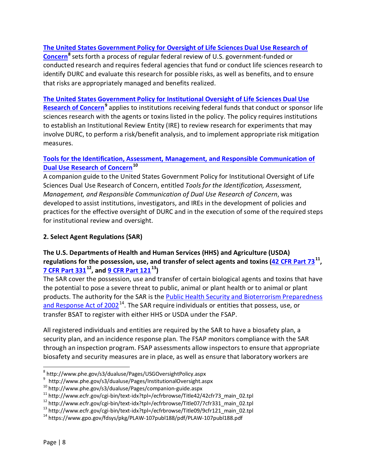#### **[The United States Government Policy for Oversight of Life Sciences Dual Use Research of](http://www.phe.gov/s3/dualuse/Pages/USGOversightPolicy.aspx)**

**[Concern](http://www.phe.gov/s3/dualuse/Pages/USGOversightPolicy.aspx)[8](#page-8-0)** sets forth a process of regular federal review of U.S. government-funded or conducted research and requires federal agencies that fund or conduct life sciences research to identify DURC and evaluate this research for possible risks, as well as benefits, and to ensure that risks are appropriately managed and benefits realized.

#### **[The United States Government Policy for Institutional Oversight of Life Sciences Dual Use](http://www.phe.gov/s3/dualuse/Pages/InstitutionalOversight.aspx)**

**[Research of Concern](http://www.phe.gov/s3/dualuse/Pages/InstitutionalOversight.aspx)[9](#page-8-1)** applies to institutions receiving federal funds that conduct or sponsor life sciences research with the agents or toxins listed in the policy. The policy requires institutions to establish an Institutional Review Entity (IRE) to review research for experiments that may involve DURC, to perform a risk/benefit analysis, and to implement appropriate risk mitigation measures.

#### **[Tools for the Identification, Assessment, Management, and Responsible Communication of](http://www.phe.gov/s3/dualuse/Pages/companion-guide.aspx)  [Dual Use Research of Concern](http://www.phe.gov/s3/dualuse/Pages/companion-guide.aspx)[10](#page-8-2)**

A companion guide to the United States Government Policy for Institutional Oversight of Life Sciences Dual Use Research of Concern, entitled *Tools for the Identification, Assessment, Management, and Responsible Communication of Dual Use Research of Concern*, was developed to assist institutions, investigators, and IREs in the development of policies and practices for the effective oversight of DURC and in the execution of some of the required steps for institutional review and oversight.

#### **2. Select Agent Regulations (SAR)**

#### **The U.S. Departments of Health and Human Services (HHS) and Agriculture (USDA) regulations for the possession, use, and transfer of select agents and toxins [\(42 CFR Part 73](http://www.ecfr.gov/cgi-bin/text-idx?tpl=/ecfrbrowse/Title42/42cfr73_main_02.tpl)[11,](#page-8-3) [7 CFR Part 331](http://www.ecfr.gov/cgi-bin/text-idx?tpl=/ecfrbrowse/Title07/7cfr331_main_02.tpl)[12](#page-8-4), and [9 CFR Part 121](http://www.ecfr.gov/cgi-bin/text-idx?tpl=/ecfrbrowse/Title09/9cfr121_main_02.tpl)[13\)](#page-8-5)**

The SAR cover the possession, use and transfer of certain biological agents and toxins that have the potential to pose a severe threat to public, animal or plant health or to animal or plant products. The authority for the SAR is the [Public Health Security and Bioterrorism Preparedness](https://www.gpo.gov/fdsys/pkg/PLAW-107publ188/pdf/PLAW-107publ188.pdf)  and Response Act of  $2002^{14}$ . The SAR require individuals or entities that possess, use, or transfer BSAT to register with either HHS or USDA under the FSAP.

All registered individuals and entities are required by the SAR to have a biosafety plan, a security plan, and an incidence response plan. The FSAP monitors compliance with the SAR through an inspection program. FSAP assessments allow inspectors to ensure that appropriate biosafety and security measures are in place, as well as ensure that laboratory workers are

<span id="page-8-0"></span> $^8$  http://www.phe.gov/s3/dualuse/Pages/USGOversightPolicy.aspx  $\ddot{\phantom{0}}$ 

<sup>9</sup> http://www.phe.gov/s3/dualuse/Pages/InstitutionalOversight.aspx

<span id="page-8-2"></span><span id="page-8-1"></span><sup>10</sup> http://www.phe.gov/s3/dualuse/Pages/companion-guide.aspx

<span id="page-8-3"></span><sup>&</sup>lt;sup>11</sup> http://www.ecfr.gov/cgi-bin/text-idx?tpl=/ecfrbrowse/Title42/42cfr73\_main\_02.tpl<br><sup>12</sup> http://www.ecfr.gov/cgi-bin/text-idx?tpl=/ecfrbrowse/Title07/7cfr331\_main\_02.tpl<br><sup>13</sup> http://www.ecfr.gov/cgi-bin/text-idx?tpl=/ec

<span id="page-8-4"></span>

<span id="page-8-6"></span><span id="page-8-5"></span><sup>14</sup> https://www.gpo.gov/fdsys/pkg/PLAW-107publ188/pdf/PLAW-107publ188.pdf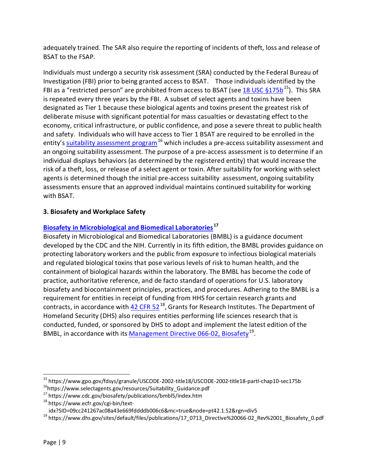adequately trained. The SAR also require the reporting of incidents of theft, loss and release of BSAT to the FSAP.

Individuals must undergo a security risk assessment (SRA) conducted by the Federal Bureau of Investigation (FBI) prior to being granted access to BSAT. Those individuals identified by the FBI as a "restricted person" are prohibited from access to BSAT (see 18 USC  $\S 175b^{15}$ ). This SRA is repeated every three years by the FBI. A subset of select agents and toxins have been designated as Tier 1 because these biological agents and toxins present the greatest risk of deliberate misuse with significant potential for mass casualties or devastating effect to the economy, critical infrastructure, or public confidence, and pose a severe threat to public health and safety. Individuals who will have access to Tier 1 BSAT are required to be enrolled in the entity's [suitability assessment program](https://www.selectagents.gov/resources/Suitability_Guidance.pdf)<sup>[16](#page-9-1)</sup> which includes a pre-access suitability assessment and an ongoing suitability assessment. The purpose of a pre-access assessment is to determine if an individual displays behaviors (as determined by the registered entity) that would increase the risk of a theft, loss, or release of a select agent or toxin. After suitability for working with select agents is determined though the initial pre-access suitability assessment, ongoing suitability assessments ensure that an approved individual maintains continued suitability for working with BSAT.

#### **3. Biosafety and Workplace Safety**

#### **[Biosafety in Microbiological and Biomedical Laboratories](https://www.cdc.gov/biosafety/publications/bmbl5/index.htm) [17](#page-9-2)**

Biosafety in Microbiological and Biomedical Laboratories (BMBL) is a guidance document developed by the CDC and the NIH. Currently in its fifth edition, the BMBL provides guidance on protecting laboratory workers and the public from exposure to infectious biological materials and regulated biological toxins that pose various levels of risk to human health, and the containment of biological hazards within the laboratory. The BMBL has become the code of practice, authoritative reference, and de facto standard of operations for U.S. laboratory biosafety and biocontainment principles, practices, and procedures. Adhering to the BMBL is a requirement for entities in receipt of funding from HHS for certain research grants and contracts, in accordance with  $42$  CFR  $52^{18}$  $52^{18}$  $52^{18}$ , Grants for Research Institutes. The Department of Homeland Security (DHS) also requires entities performing life sciences research that is conducted, funded, or sponsored by DHS to adopt and implement the latest edition of the BMBL, in accordance with its [Management Directive 066-02, Biosafety](https://www.dhs.gov/sites/default/files/publications/17_0713_Directive%20066-02_Rev%2001_Biosafety_0.pdf)<sup>19</sup>.

<span id="page-9-0"></span><sup>&</sup>lt;sup>15</sup> https://www.gpo.gov/fdsys/granule/USCODE-2002-title18/USCODE-2002-title18-partI-chap10-sec175b<br><sup>16</sup>https://www.selectagents.gov/resources/Suitability\_Guidance.pdf  $\overline{a}$ 

<span id="page-9-2"></span><span id="page-9-1"></span><sup>17</sup> https://www.cdc.gov/biosafety/publications/bmbl5/index.htm

<span id="page-9-3"></span><sup>&</sup>lt;sup>18</sup> https://www.ecfr.gov/cgi-bin/text-<br>idx?SID=09cc241267ac08a43e669fddddb006c6&mc=true&node=pt42.1.52&rgn=div5

<span id="page-9-4"></span><sup>&</sup>lt;sup>19</sup> https://www.dhs.gov/sites/default/files/publications/17\_0713\_Directive%20066-02\_Rev%2001\_Biosafety\_0.pdf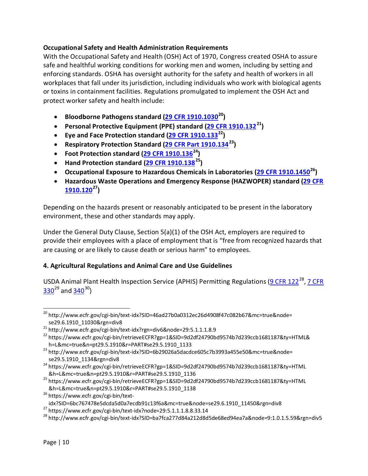#### **Occupational Safety and Health Administration Requirements**

With the Occupational Safety and Health (OSH) Act of 1970, Congress created OSHA to assure safe and healthful working conditions for working men and women, including by setting and enforcing standards. OSHA has oversight authority for the safety and health of workers in all workplaces that fall under its jurisdiction, including individuals who work with biological agents or toxins in containment facilities. Regulations promulgated to implement the OSH Act and protect worker safety and health include:

- **Bloodborne Pathogens standard [\(29 CFR 1910.1030](http://www.ecfr.gov/cgi-bin/text-idx?SID=46ad27b0a0312ec26d4908f47c082b67&mc=true&node=se29.6.1910_11030&rgn=div8)[20\)](#page-10-0)**
- **Personal Protective Equipment (PPE) standard [\(29 CFR 1910.132](http://www.ecfr.gov/cgi-bin/text-idx?rgn=div6&node=29:5.1.1.1.8.9)[21](#page-10-1))**
- **Eye and Face Protection standard [\(29 CFR 1910.133](https://www.ecfr.gov/cgi-bin/retrieveECFR?gp=1&SID=9d2df24790bd9574b7d239ccb1681187&ty=HTML&h=L&mc=true&n=pt29.5.1910&r=PART%23se29.5.1910_1133)[22](#page-10-2))**
- **Respiratory Protection Standard [\(29 CFR Part 1910.134](http://www.ecfr.gov/cgi-bin/text-idx?SID=6b29026a5dacdce605c7b3993a455e50&mc=true&node=se29.5.1910_1134&rgn=div8)[23](#page-10-3))**
- **Foot Protection standard [\(29 CFR 1910.136](https://www.ecfr.gov/cgi-bin/retrieveECFR?gp=1&SID=9d2df24790bd9574b7d239ccb1681187&ty=HTML&h=L&mc=true&n=pt29.5.1910&r=PART%23se29.5.1910_1136)[24](#page-10-4))**
- **Hand Protection standard [\(29 CFR 1910.138](https://www.ecfr.gov/cgi-bin/retrieveECFR?gp=1&SID=9d2df24790bd9574b7d239ccb1681187&ty=HTML&h=L&mc=true&n=pt29.5.1910&r=PART%23se29.5.1910_1138)[25](#page-10-5))**
- **Occupational Exposure to Hazardous Chemicals in Laboratories [\(29 CFR 1910.1450](https://www.ecfr.gov/cgi-bin/text-idx?SID=6bc767478e5dcda5d0a7ecdb91c13f6a&mc=true&node=se29.6.1910_11450&rgn=div8)[26\)](#page-10-6)**
- **Hazardous Waste Operations and Emergency Response (HAZWOPER) standard [\(29 CFR](https://www.ecfr.gov/cgi-bin/text-idx?node=29:5.1.1.1.8.8.33.14)  [1910.120](https://www.ecfr.gov/cgi-bin/text-idx?node=29:5.1.1.1.8.8.33.14)[27](#page-10-7) )**

Depending on the hazards present or reasonably anticipated to be present in the laboratory environment, these and other standards may apply.

Under the General Duty Clause, Section 5(a)(1) of the OSH Act, employers are required to provide their employees with a place of employment that is "free from recognized hazards that are causing or are likely to cause death or serious harm" to employees.

#### **4. Agricultural Regulations and Animal Care and Use Guidelines**

USDA Animal Plant Health Inspection Service (APHIS) Permitting Regulations [\(9 CFR 122](http://www.ecfr.gov/cgi-bin/text-idx?SID=ba7fca277d84a212d8d5de68ed94ea7a&node=9:1.0.1.5.59&rgn=div5)<sup>[28](#page-10-8)</sup>, 7 CFR  $330^{29}$  $330^{29}$  $330^{29}$  $330^{29}$  and  $340^{30}$  $340^{30}$  $340^{30}$ )

<span id="page-10-0"></span><sup>&</sup>lt;sup>20</sup> http://www.ecfr.gov/cgi-bin/text-idx?SID=46ad27b0a0312ec26d4908f47c082b67&mc=true&node= se29.6.1910\_11030&rgn=div8  $\ddot{\phantom{a}}$ 

<span id="page-10-1"></span><sup>21</sup> http://www.ecfr.gov/cgi-bin/text-idx?rgn=div6&node=29:5.1.1.1.8.9

<span id="page-10-2"></span><sup>&</sup>lt;sup>22</sup> https://www.ecfr.gov/cgi-bin/retrieveECFR?gp=1&SID=9d2df24790bd9574b7d239ccb1681187&ty=HTML& h=L&mc=true&n=pt29.5.1910&r=PART#se29.5.1910\_1133

<span id="page-10-3"></span><sup>23</sup> http://www.ecfr.gov/cgi-bin/text-idx?SID=6b29026a5dacdce605c7b3993a455e50&mc=true&node= se29.5.1910\_1134&rgn=div8

<span id="page-10-9"></span><span id="page-10-4"></span><sup>24</sup> https://www.ecfr.gov/cgi-bin/retrieveECFR?gp=1&SID=9d2df24790bd9574b7d239ccb1681187&ty=HTML &h=L&mc=true&n=pt29.5.1910&r=PART#se29.5.1910\_1136

<span id="page-10-10"></span><span id="page-10-5"></span><sup>25</sup> https://www.ecfr.gov/cgi-bin/retrieveECFR?gp=1&SID=9d2df24790bd9574b7d239ccb1681187&ty=HTML &h=L&mc=true&n=pt29.5.1910&r=PART#se29.5.1910\_1138

<span id="page-10-6"></span><sup>&</sup>lt;sup>26</sup> https://www.ecfr.gov/cgi-bin/textidx?SID=6bc767478e5dcda5d0a7ecdb91c13f6a&mc=true&node=se29.6.1910\_11450&rgn=div8

<span id="page-10-7"></span> $^{27}$  https://www.ecfr.gov/cgi-bin/text-idx?node=29:5.1.1.1.8.8.33.14

<span id="page-10-8"></span><sup>28</sup> http://www.ecfr.gov/cgi-bin/text-idx?SID=ba7fca277d84a212d8d5de68ed94ea7a&node=9:1.0.1.5.59&rgn=div5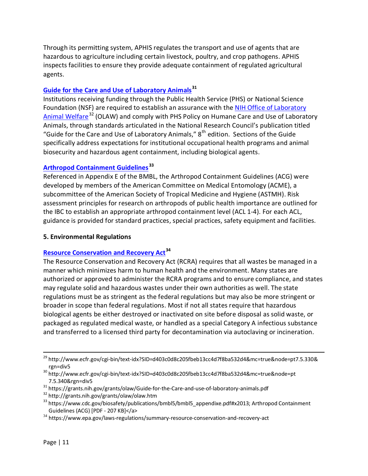Through its permitting system, APHIS regulates the transport and use of agents that are hazardous to agriculture including certain livestock, poultry, and crop pathogens. APHIS inspects facilities to ensure they provide adequate containment of regulated agricultural agents.

#### **[Guide for the Care and Use of Laboratory](https://grants.nih.gov/grants/olaw/Guide-for-the-Care-and-use-of-laboratory-animals.pdf) Animals[31](#page-11-0)**

Institutions receiving funding through the Public Health Service (PHS) or National Science Foundation (NSF) are required to establish an assurance with the NIH Office of Laboratory Animal [Welfare](http://grants.nih.gov/grants/olaw/olaw.htm)<sup>[32](#page-11-1)</sup> (OLAW) and comply with PHS Policy on Humane Care and Use of Laboratory Animals, through standards articulated in the National Research Council's publication titled "Guide for the Care and Use of Laboratory Animals,"  $8<sup>th</sup>$  edition. Sections of the Guide specifically address expectations for institutional occupational health programs and animal biosecurity and hazardous agent containment, including biological agents.

#### **[Arthropod Containment Guidelines](https://www.cdc.gov/biosafety/publications/bmbl5/bmbl5_appendixe.pdf%23x2013;%20Arthropod%20Containment%20Guidelines%20(ACG)%20%5BPDF%20-%20207%20KB%5D%3C/a%3E) [33](#page-11-2)**

Referenced in Appendix E of the BMBL, the Arthropod Containment Guidelines (ACG) were developed by members of the American Committee on Medical Entomology (ACME), a subcommittee of the American Society of Tropical Medicine and Hygiene (ASTMH). Risk assessment principles for research on arthropods of public health importance are outlined for the IBC to establish an appropriate arthropod containment level (ACL 1-4). For each ACL, guidance is provided for standard practices, special practices, safety equipment and facilities.

#### **5. Environmental Regulations**

#### **[Resource Conservation and Recovery Act](https://www.epa.gov/laws-regulations/summary-resource-conservation-and-recovery-act)[34](#page-11-3)**

The Resource Conservation and Recovery Act (RCRA) requires that all wastes be managed in a manner which minimizes harm to human health and the environment. Many states are authorized or approved to administer the RCRA programs and to ensure compliance, and states may regulate solid and hazardous wastes under their own authorities as well. The state regulations must be as stringent as the federal regulations but may also be more stringent or broader in scope than federal regulations. Most if not all states require that hazardous biological agents be either destroyed or inactivated on site before disposal as solid waste, or packaged as regulated medical waste, or handled as a special Category A infectious substance and transferred to a licensed third party for decontamination via autoclaving or incineration.

 $\overline{a}$ 

<sup>&</sup>lt;sup>29</sup> http://www.ecfr.gov/cgi-bin/text-idx?SID=d403c0d8c205fbeb13cc4d7f8ba532d4&mc=true&node=pt7.5.330&

rgn=div5 30 http://www.ecfr.gov/cgi-bin/text-idx?SID=d403c0d8c205fbeb13cc4d7f8ba532d4&mc=true&node=pt 7.5.340&rgn=div5

<span id="page-11-0"></span><sup>&</sup>lt;sup>31</sup> https://grants.nih.gov/grants/olaw/Guide-for-the-Care-and-use-of-laboratory-animals.pdf

<span id="page-11-1"></span><sup>32</sup> http://grants.nih.gov/grants/olaw/olaw.htm

<span id="page-11-2"></span><sup>33</sup> https://www.cdc.gov/biosafety/publications/bmbl5/bmbl5\_appendixe.pdf#x2013; Arthropod Containment Guidelines (ACG) [PDF - 207 KB]</a>

<span id="page-11-3"></span><sup>34</sup> https://www.epa.gov/laws-regulations/summary-resource-conservation-and-recovery-act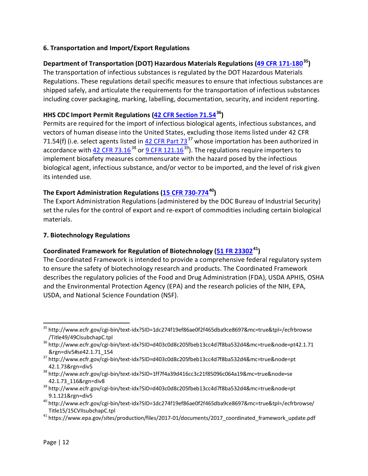#### **6. Transportation and Import/Export Regulations**

#### **Department of Transportation (DOT) Hazardous Materials Regulations [\(49 CFR 171-180](http://www.ecfr.gov/cgi-bin/text-idx?SID=1dc274f19ef86ae0f2f465dba9ce8697&mc=true&tpl=/ecfrbrowse/Title49/49CIsubchapC.tpl)[35](#page-12-0))**

The transportation of infectious substances is regulated by the DOT Hazardous Materials Regulations. These regulations detail specific measures to ensure that infectious substances are shipped safely, and articulate the requirements for the transportation of infectious substances including cover packaging, marking, labelling, documentation, security, and incident reporting.

#### **HHS CDC Import Permit Regulations [\(42 CFR Section 71.54](http://www.ecfr.gov/cgi-bin/text-idx?SID=d403c0d8c205fbeb13cc4d7f8ba532d4&mc=true&node=pt42.1.71&rgn=div5%23se42.1.71_154)[36](#page-12-1))**

Permits are required for the import of infectious biological agents, infectious substances, and vectors of human disease into the United States, excluding those items listed under 42 CFR 71.54(f) (i.e. select agents listed in  $42$  CFR Part 73<sup>[37](#page-12-2)</sup> whose importation has been authorized in accordance with [42 CFR 73.16](http://www.ecfr.gov/cgi-bin/text-idx?SID=1ff7f4a39d416cc3c21f85096c064a19&mc=true&node=se42.1.73_116&rgn=div8)<sup>[38](#page-12-3)</sup> or  $9$  CFR 121.16<sup>[39](#page-12-4)</sup>). The regulations require importers to implement biosafety measures commensurate with the hazard posed by the infectious biological agent, infectious substance, and/or vector to be imported, and the level of risk given its intended use.

#### **The Export Administration Regulations [\(15 CFR 730-774](http://www.ecfr.gov/cgi-bin/text-idx?SID=1dc274f19ef86ae0f2f465dba9ce8697&mc=true&tpl=/ecfrbrowse/Title15/15CVIIsubchapC.tpl)[40](#page-12-5))**

The Export Administration Regulations (administered by the DOC Bureau of Industrial Security) set the rules for the control of export and re-export of commodities including certain biological materials.

#### **7. Biotechnology Regulations**

#### **Coordinated Framework for Regulation of Biotechnology [\(51 FR 23302](https://www.epa.gov/sites/production/files/2017-01/documents/2017_coordinated_framework_update.pdf)[41](#page-12-6))**

The Coordinated Framework is intended to provide a comprehensive federal regulatory system to ensure the safety of biotechnology research and products. The Coordinated Framework describes the regulatory policies of the Food and Drug Administration (FDA), USDA APHIS, OSHA and the Environmental Protection Agency (EPA) and the research policies of the NIH, EPA, USDA, and National Science Foundation (NSF).

<span id="page-12-0"></span><sup>35</sup> http://www.ecfr.gov/cgi-bin/text-idx?SID=1dc274f19ef86ae0f2f465dba9ce8697&mc=true&tpl=/ecfrbrowse /Title49/49CIsubchapC.tpl  $\ddot{\phantom{a}}$ 

<span id="page-12-1"></span><sup>36</sup> http://www.ecfr.gov/cgi-bin/text-idx?SID=d403c0d8c205fbeb13cc4d7f8ba532d4&mc=true&node=pt42.1.71 &rgn=div5#se42.1.71\_154

<span id="page-12-2"></span><sup>37</sup> http://www.ecfr.gov/cgi-bin/text-idx?SID=d403c0d8c205fbeb13cc4d7f8ba532d4&mc=true&node=pt

<span id="page-12-3"></span><sup>42.1.73&</sup>amp;rgn=div5<br><sup>38</sup> http://www.ecfr.gov/cgi-bin/text-idx?SID=1ff7f4a39d416cc3c21f85096c064a19&mc=true&node=se 42.1.73\_116&rgn=div8 39 http://www.ecfr.gov/cgi-bin/text-idx?SID=d403c0d8c205fbeb13cc4d7f8ba532d4&mc=true&node=pt

<span id="page-12-4"></span><sup>9.1.121&</sup>amp;rgn=div5

<span id="page-12-5"></span><sup>40</sup> http://www.ecfr.gov/cgi-bin/text-idx?SID=1dc274f19ef86ae0f2f465dba9ce8697&mc=true&tpl=/ecfrbrowse/ Title15/15CVIIsubchapC.tpl

<span id="page-12-6"></span><sup>41</sup> https://www.epa.gov/sites/production/files/2017-01/documents/2017\_coordinated\_framework\_update.pdf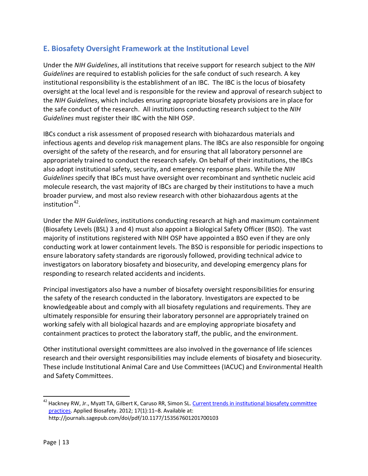# **E. Biosafety Oversight Framework at the Institutional Level**

Under the *NIH Guidelines*, all institutions that receive support for research subject to the *NIH Guidelines* are required to establish policies for the safe conduct of such research. A key institutional responsibility is the establishment of an IBC. The IBC is the locus of biosafety oversight at the local level and is responsible for the review and approval of research subject to the *NIH Guidelines*, which includes ensuring appropriate biosafety provisions are in place for the safe conduct of the research. All institutions conducting research subject to the *NIH Guidelines* must register their IBC with the NIH OSP.

IBCs conduct a risk assessment of proposed research with biohazardous materials and infectious agents and develop risk management plans. The IBCs are also responsible for ongoing oversight of the safety of the research, and for ensuring that all laboratory personnel are appropriately trained to conduct the research safely. On behalf of their institutions, the IBCs also adopt institutional safety, security, and emergency response plans. While the *NIH Guidelines* specify that IBCs must have oversight over recombinant and synthetic nucleic acid molecule research, the vast majority of IBCs are charged by their institutions to have a much broader purview, and most also review research with other biohazardous agents at the institution $42$ .

Under the *NIH Guidelines*, institutions conducting research at high and maximum containment (Biosafety Levels (BSL) 3 and 4) must also appoint a Biological Safety Officer (BSO). The vast majority of institutions registered with NIH OSP have appointed a BSO even if they are only conducting work at lower containment levels. The BSO is responsible for periodic inspections to ensure laboratory safety standards are rigorously followed, providing technical advice to investigators on laboratory biosafety and biosecurity, and developing emergency plans for responding to research related accidents and incidents.

Principal investigators also have a number of biosafety oversight responsibilities for ensuring the safety of the research conducted in the laboratory. Investigators are expected to be knowledgeable about and comply with all biosafety regulations and requirements. They are ultimately responsible for ensuring their laboratory personnel are appropriately trained on working safely with all biological hazards and are employing appropriate biosafety and containment practices to protect the laboratory staff, the public, and the environment.

Other institutional oversight committees are also involved in the governance of life sciences research and their oversight responsibilities may include elements of biosafety and biosecurity. These include Institutional Animal Care and Use Committees (IACUC) and Environmental Health and Safety Committees.

<span id="page-13-0"></span><sup>&</sup>lt;sup>42</sup> Hackney RW, Jr., Myatt TA, Gilbert K, Caruso RR, Simon SL. <u>Current trends in institutional biosafety committee</u> [practices.](http://journals.sagepub.com/doi/pdf/10.1177/153567601201700103) Applied Biosafety. 2012; 17(1):11–8. Available at: http://journals.sagepub.com/doi/pdf/10.1177/153567601201700103  $\overline{a}$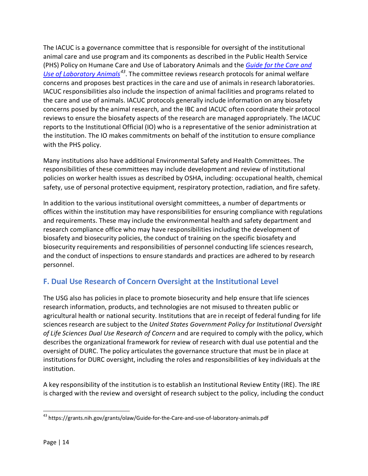The IACUC is a governance committee that is responsible for oversight of the institutional animal care and use program and its components as described in the Public Health Service (PHS) Policy on Humane Care and Use of Laboratory Animals and the *[Guide for the Care and](https://grants.nih.gov/grants/olaw/Guide-for-the-Care-and-use-of-laboratory-animals.pdf)  [Use of Laboratory Animals](https://grants.nih.gov/grants/olaw/Guide-for-the-Care-and-use-of-laboratory-animals.pdf)[43](#page-14-0)*. The committee reviews research protocols for animal welfare concerns and proposes best practices in the care and use of animals in research laboratories. IACUC responsibilities also include the inspection of animal facilities and programs related to the care and use of animals. IACUC protocols generally include information on any biosafety concerns posed by the animal research, and the IBC and IACUC often coordinate their protocol reviews to ensure the biosafety aspects of the research are managed appropriately. The IACUC reports to the Institutional Official (IO) who is a representative of the senior administration at the institution. The IO makes commitments on behalf of the institution to ensure compliance with the PHS policy.

Many institutions also have additional Environmental Safety and Health Committees. The responsibilities of these committees may include development and review of institutional policies on worker health issues as described by OSHA, including: occupational health, chemical safety, use of personal protective equipment, respiratory protection, radiation, and fire safety.

In addition to the various institutional oversight committees, a number of departments or offices within the institution may have responsibilities for ensuring compliance with regulations and requirements. These may include the environmental health and safety department and research compliance office who may have responsibilities including the development of biosafety and biosecurity policies, the conduct of training on the specific biosafety and biosecurity requirements and responsibilities of personnel conducting life sciences research, and the conduct of inspections to ensure standards and practices are adhered to by research personnel.

# **F. Dual Use Research of Concern Oversight at the Institutional Level**

The USG also has policies in place to promote biosecurity and help ensure that life sciences research information, products, and technologies are not misused to threaten public or agricultural health or national security. Institutions that are in receipt of federal funding for life sciences research are subject to the *United States Government Policy for Institutional Oversight of Life Sciences Dual Use Research of Concern* and are required to comply with the policy, which describes the organizational framework for review of research with dual use potential and the oversight of DURC. The policy articulates the governance structure that must be in place at institutions for DURC oversight, including the roles and responsibilities of key individuals at the institution.

A key responsibility of the institution is to establish an Institutional Review Entity (IRE). The IRE is charged with the review and oversight of research subject to the policy, including the conduct

<span id="page-14-0"></span><sup>&</sup>lt;sup>43</sup> https://grants.nih.gov/grants/olaw/Guide-for-the-Care-and-use-of-laboratory-animals.pdf  $\overline{a}$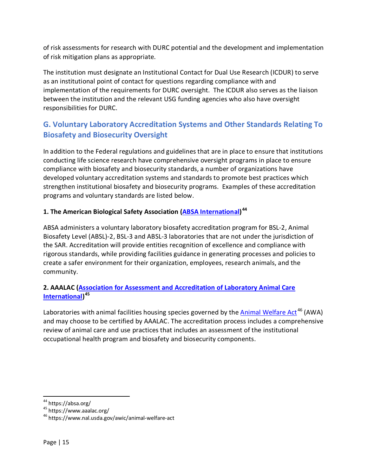of risk assessments for research with DURC potential and the development and implementation of risk mitigation plans as appropriate.

The institution must designate an Institutional Contact for Dual Use Research (ICDUR) to serve as an institutional point of contact for questions regarding compliance with and implementation of the requirements for DURC oversight. The ICDUR also serves as the liaison between the institution and the relevant USG funding agencies who also have oversight responsibilities for DURC.

# **G. Voluntary Laboratory Accreditation Systems and Other Standards Relating To Biosafety and Biosecurity Oversight**

In addition to the Federal regulations and guidelines that are in place to ensure that institutions conducting life science research have comprehensive oversight programs in place to ensure compliance with biosafety and biosecurity standards, a number of organizations have developed voluntary accreditation systems and standards to promote best practices which strengthen institutional biosafety and biosecurity programs. Examples of these accreditation programs and voluntary standards are listed below.

## **1. The American Biological Safety Association [\(ABSA International\)](https://absa.org/) [44](#page-15-0)**

ABSA administers a voluntary laboratory biosafety accreditation program for BSL-2, Animal Biosafety Level (ABSL)-2, BSL-3 and ABSL-3 laboratories that are not under the jurisdiction of the SAR. Accreditation will provide entities recognition of excellence and compliance with rigorous standards, while providing facilities guidance in generating processes and policies to create a safer environment for their organization, employees, research animals, and the community.

#### **2. AAALAC [\(Association for Assessment and Accreditation of Laboratory Animal Care](https://www.aaalac.org/)  [International\)](https://www.aaalac.org/) [45](#page-15-1)**

Laboratories with animal facilities housing species governed by the **Animal Welfare Act<sup>[46](#page-15-2)</sup> (AWA)** and may choose to be certified by AAALAC. The accreditation process includes a comprehensive review of animal care and use practices that includes an assessment of the institutional occupational health program and biosafety and biosecurity components.

<sup>&</sup>lt;sup>44</sup> https://absa.org/  $\overline{a}$ 

<span id="page-15-1"></span><span id="page-15-0"></span><sup>45</sup> https://www.aaalac.org/

<span id="page-15-2"></span><sup>46</sup> https://www.nal.usda.gov/awic/animal-welfare-act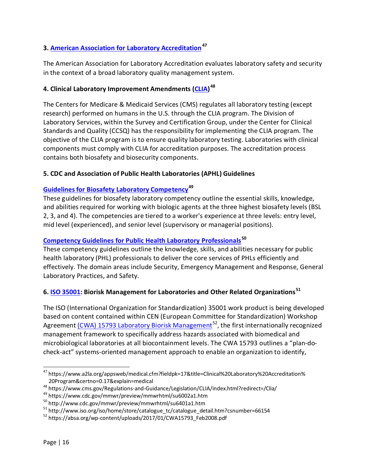## **3. [American Association for Laboratory Accreditation](https://www.a2la.org/appsweb/medical.cfm?fieldpk=17&title=Clinical%20Laboratory%20Accreditation%20Program&certno=0.17&explain=medical)[47](#page-16-0)**

The American Association for Laboratory Accreditation evaluates laboratory safety and security in the context of a broad laboratory quality management system.

#### **4. Clinical Laboratory Improvement Amendments [\(CLIA\)](https://www.cms.gov/Regulations-and-Guidance/Legislation/CLIA/index.html?redirect=/Clia/) [48](#page-16-1)**

The Centers for Medicare & Medicaid Services (CMS) regulates all laboratory testing (except research) performed on humans in the U.S. through the CLIA program. The Division of Laboratory Services, within the Survey and Certification Group, under the Center for Clinical Standards and Quality (CCSQ) has the responsibility for implementing the CLIA program. The objective of the CLIA program is to ensure quality laboratory testing. Laboratories with clinical components must comply with CLIA for accreditation purposes. The accreditation process contains both biosafety and biosecurity components.

#### **5. CDC and Association of Public Health Laboratories (APHL) Guidelines**

#### **[Guidelines for Biosafety Laboratory Competency](https://www.cdc.gov/mmwr/preview/mmwrhtml/su6002a1.htm)[49](#page-16-2)**

These guidelines for biosafety laboratory competency outline the essential skills, knowledge, and abilities required for working with biologic agents at the three highest biosafety levels (BSL 2, 3, and 4). The competencies are tiered to a worker's experience at three levels: entry level, mid level (experienced), and senior level (supervisory or managerial positions).

#### **[Competency Guidelines for Public Health Laboratory Professionals](http://www.cdc.gov/mmwr/preview/mmwrhtml/su6401a1.htm)[50](#page-16-3)**

These competency guidelines outline the knowledge, skills, and abilities necessary for public health laboratory (PHL) professionals to deliver the core services of PHLs efficiently and effectively. The domain areas include Security, Emergency Management and Response, General Laboratory Practices, and Safety.

#### **6. [ISO 35001:](http://www.iso.org/iso/home/store/catalogue_tc/catalogue_detail.htm?csnumber=66154) Biorisk Management for Laboratories and Other Related Organizations[51](#page-16-4)**

The ISO (International Organization for Standardization) 35001 work product is being developed based on content contained within CEN (European Committee for Standardization) Workshop Agreement [\(CWA\) 15793 Laboratory Biorisk Management](https://absa.org/wp-content/uploads/2017/01/CWA15793_Feb2008.pdf)<sup>52</sup>, the first internationally recognized management framework to specifically address hazards associated with biomedical and microbiological laboratories at all biocontainment levels. The CWA 15793 outlines a "plan-docheck-act" systems-oriented management approach to enable an organization to identify,

<span id="page-16-0"></span><sup>47</sup> https://www.a2la.org/appsweb/medical.cfm?fieldpk=17&title=Clinical%20Laboratory%20Accreditation% 20Program&certno=0.17&explain=medical  $\overline{a}$ 

<span id="page-16-1"></span><sup>48</sup> https://www.cms.gov/Regulations-and-Guidance/Legislation/CLIA/index.html?redirect=/Clia/

<span id="page-16-2"></span><sup>49</sup> https://www.cdc.gov/mmwr/preview/mmwrhtml/su6002a1.htm

<span id="page-16-3"></span><sup>50</sup> http://www.cdc.gov/mmwr/preview/mmwrhtml/su6401a1.htm

<span id="page-16-4"></span> $51$  http://www.iso.org/iso/home/store/catalogue\_tc/catalogue\_detail.htm?csnumber=66154

<span id="page-16-5"></span><sup>52</sup> https://absa.org/wp-content/uploads/2017/01/CWA15793\_Feb2008.pdf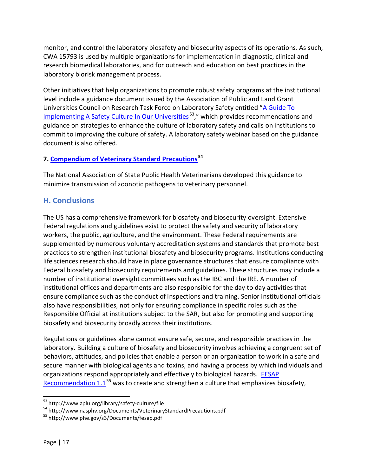monitor, and control the laboratory biosafety and biosecurity aspects of its operations. As such, CWA 15793 is used by multiple organizations for implementation in diagnostic, clinical and research biomedical laboratories, and for outreach and education on best practices in the laboratory biorisk management process.

Other initiatives that help organizations to promote robust safety programs at the institutional level include a guidance document issued by the Association of Public and Land Grant Universities Council on Research Task Force on Laboratory Safety entitled "A Guide To Implementing [A Safety Culture In Our](http://www.aplu.org/library/safety-culture/file) Universities<sup>[53](#page-17-0)</sup>," which provides recommendations and guidance on strategies to enhance the culture of laboratory safety and calls on institutions to commit to improving the culture of safety. A laboratory safety webinar based on the guidance document is also offered.

#### **7. [Compendium of Veterinary Standard Precautions](http://www.nasphv.org/Documents/VeterinaryStandardPrecautions.pdf) [54](#page-17-1)**

The National Association of State Public Health Veterinarians developed this guidance to minimize transmission of zoonotic pathogens to veterinary personnel.

## **H. Conclusions**

The US has a comprehensive framework for biosafety and biosecurity oversight. Extensive Federal regulations and guidelines exist to protect the safety and security of laboratory workers, the public, agriculture, and the environment. These Federal requirements are supplemented by numerous voluntary accreditation systems and standards that promote best practices to strengthen institutional biosafety and biosecurity programs. Institutions conducting life sciences research should have in place governance structures that ensure compliance with Federal biosafety and biosecurity requirements and guidelines. These structures may include a number of institutional oversight committees such as the IBC and the IRE. A number of institutional offices and departments are also responsible for the day to day activities that ensure compliance such as the conduct of inspections and training. Senior institutional officials also have responsibilities, not only for ensuring compliance in specific roles such as the Responsible Official at institutions subject to the SAR, but also for promoting and supporting biosafety and biosecurity broadly across their institutions.

Regulations or guidelines alone cannot ensure safe, secure, and responsible practices in the laboratory. Building a culture of biosafety and biosecurity involves achieving a congruent set of behaviors, attitudes, and policies that enable a person or an organization to work in a safe and secure manner with biological agents and toxins, and having a process by which individuals and organizations respond appropriately and effectively to biological hazards. [FESAP](http://www.phe.gov/s3/Documents/fesap.pdf)  [Recommendation 1.1](http://www.phe.gov/s3/Documents/fesap.pdf)<sup>[55](#page-17-2)</sup> was to create and strengthen a culture that emphasizes biosafety,

<sup>&</sup>lt;sup>53</sup> http://www.aplu.org/library/safety-culture/file  $\overline{a}$ 

<span id="page-17-1"></span><span id="page-17-0"></span><sup>54</sup> http://www.nasphv.org/Documents/VeterinaryStandardPrecautions.pdf

<span id="page-17-2"></span><sup>55</sup> http://www.phe.gov/s3/Documents/fesap.pdf